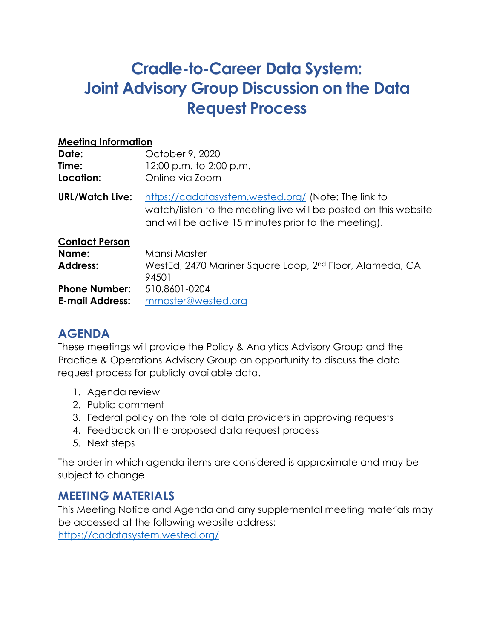# **Cradle-to-Career Data System: Joint Advisory Group Discussion on the Data Request Process**

| <b>Meeting Information</b>                     |                                                                                                                                                                                |
|------------------------------------------------|--------------------------------------------------------------------------------------------------------------------------------------------------------------------------------|
| Date:                                          | October 9, 2020                                                                                                                                                                |
| Time:                                          | 12:00 p.m. to 2:00 p.m.                                                                                                                                                        |
| Location:                                      | Online via Zoom                                                                                                                                                                |
| <b>URL/Watch Live:</b>                         | https://cadatasystem.wested.org/ (Note: The link to<br>watch/listen to the meeting live will be posted on this website<br>and will be active 15 minutes prior to the meeting). |
| <b>Contact Person</b>                          |                                                                                                                                                                                |
| Name:                                          | Mansi Master                                                                                                                                                                   |
| Address:                                       | WestEd, 2470 Mariner Square Loop, 2 <sup>nd</sup> Floor, Alameda, CA<br>94501                                                                                                  |
| <b>Phone Number:</b><br><b>E-mail Address:</b> | 510.8601-0204<br>mmaster@wested.org                                                                                                                                            |

# **AGENDA**

These meetings will provide the Policy & Analytics Advisory Group and the Practice & Operations Advisory Group an opportunity to discuss the data request process for publicly available data.

- 1. Agenda review
- 2. Public comment
- 3. Federal policy on the role of data providers in approving requests
- 4. Feedback on the proposed data request process
- 5. Next steps

The order in which agenda items are considered is approximate and may be subject to change.

# **MEETING MATERIALS**

This Meeting Notice and Agenda and any supplemental meeting materials may be accessed at the following website address:

<https://cadatasystem.wested.org/>